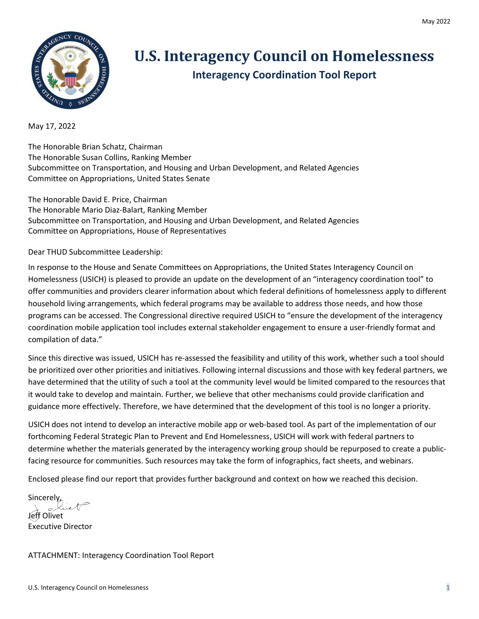

## **U.S. Interagency Council on Homelessness Interagency Coordination Tool Report**

May 17, 2022

The Honorable Brian Schatz, Chairman The Honorable Susan Collins, Ranking Member Subcommittee on Transportation, and Housing and Urban Development, and Related Agencies Committee on Appropriations, United States Senate

The Honorable David E. Price, Chairman The Honorable Mario Diaz-Balart, Ranking Member Subcommittee on Transportation, and Housing and Urban Development, and Related Agencies Committee on Appropriations, House of Representatives

Dear THUD Subcommittee Leadership:

In response to the House and Senate Committees on Appropriations, the United States Interagency Council on Homelessness (USICH) is pleased to provide an update on the development of an "interagency coordination tool" to offer communities and providers clearer information about which federal definitions of homelessness apply to different household living arrangements, which federal programs may be available to address those needs, and how those programs can be accessed. The Congressional directive required USICH to "ensure the development of the interagency coordination mobile application tool includes external stakeholder engagement to ensure a user-friendly format and compilation of data."

Since this directive was issued, USICH has re-assessed the feasibility and utility of this work, whether such a tool should be prioritized over other priorities and initiatives. Following internal discussions and those with key federal partners, we have determined that the utility of such a tool at the community level would be limited compared to the resources that it would take to develop and maintain. Further, we believe that other mechanisms could provide clarification and guidance more effectively. Therefore, we have determined that the development of this tool is no longer a priority.

USICH does not intend to develop an interactive mobile app or web-based tool. As part of the implementation of our forthcoming Federal Strategic Plan to Prevent and End Homelessness, USICH will work with federal partners to determine whether the materials generated by the interagency working group should be repurposed to create a publicfacing resource for communities. Such resources may take the form of infographics, fact sheets, and webinars.

Enclosed please find our report that provides further background and context on how we reached this decision.

Sincerely, Jeff Olivet

Executive Director

ATTACHMENT: Interagency Coordination Tool Report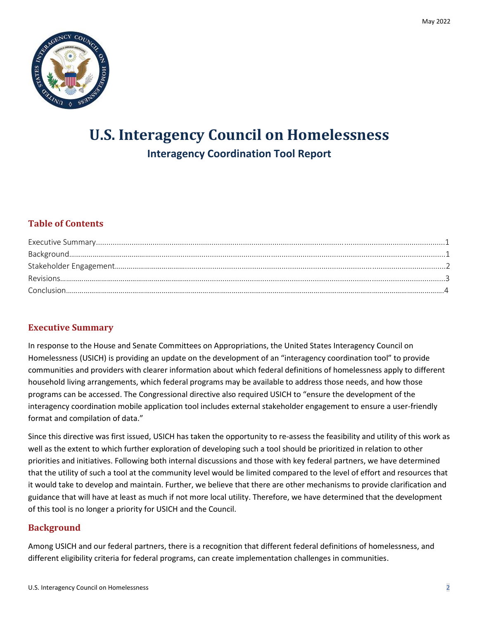

# **U.S. Interagency Council on Homelessness Interagency Coordination Tool Report**

### **Table of Contents**

#### **Executive Summary**

In response to the House and Senate Committees on Appropriations, the United States Interagency Council on Homelessness (USICH) is providing an update on the development of an "interagency coordination tool" to provide communities and providers with clearer information about which federal definitions of homelessness apply to different household living arrangements, which federal programs may be available to address those needs, and how those programs can be accessed. The Congressional directive also required USICH to "ensure the development of the interagency coordination mobile application tool includes external stakeholder engagement to ensure a user-friendly format and compilation of data."

Since this directive was first issued, USICH has taken the opportunity to re-assess the feasibility and utility of this work as well as the extent to which further exploration of developing such a tool should be prioritized in relation to other priorities and initiatives. Following both internal discussions and those with key federal partners, we have determined that the utility of such a tool at the community level would be limited compared to the level of effort and resources that it would take to develop and maintain. Further, we believe that there are other mechanisms to provide clarification and guidance that will have at least as much if not more local utility. Therefore, we have determined that the development of this tool is no longer a priority for USICH and the Council.

#### **Background**

Among USICH and our federal partners, there is a recognition that different federal definitions of homelessness, and different eligibility criteria for federal programs, can create implementation challenges in communities.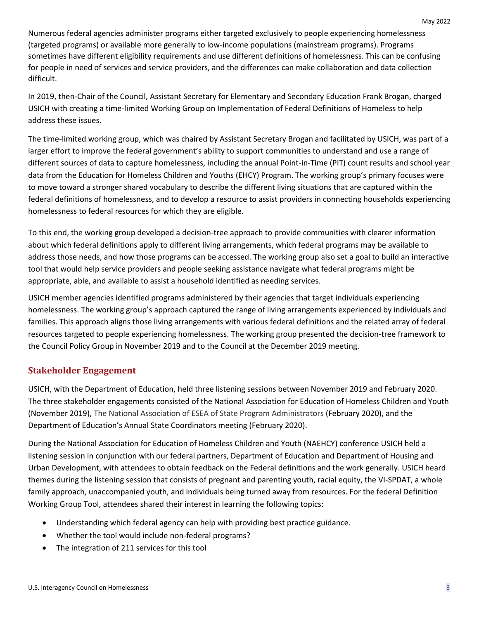Numerous federal agencies administer programs either targeted exclusively to people experiencing homelessness (targeted programs) or available more generally to low-income populations (mainstream programs). Programs sometimes have different eligibility requirements and use different definitions of homelessness. This can be confusing for people in need of services and service providers, and the differences can make collaboration and data collection difficult.

In 2019, then-Chair of the Council, Assistant Secretary for Elementary and Secondary Education Frank Brogan, charged USICH with creating a time-limited Working Group on Implementation of Federal Definitions of Homeless to help address these issues.

The time-limited working group, which was chaired by Assistant Secretary Brogan and facilitated by USICH, was part of a larger effort to improve the federal government's ability to support communities to understand and use a range of different sources of data to capture homelessness, including the annual Point-in-Time (PIT) count results and school year data from the Education for Homeless Children and Youths (EHCY) Program. The working group's primary focuses were to move toward a stronger shared vocabulary to describe the different living situations that are captured within the federal definitions of homelessness, and to develop a resource to assist providers in connecting households experiencing homelessness to federal resources for which they are eligible.

To this end, the working group developed a decision-tree approach to provide communities with clearer information about which federal definitions apply to different living arrangements, which federal programs may be available to address those needs, and how those programs can be accessed. The working group also set a goal to build an interactive tool that would help service providers and people seeking assistance navigate what federal programs might be appropriate, able, and available to assist a household identified as needing services.

USICH member agencies identified programs administered by their agencies that target individuals experiencing homelessness. The working group's approach captured the range of living arrangements experienced by individuals and families. This approach aligns those living arrangements with various federal definitions and the related array of federal resources targeted to people experiencing homelessness. The working group presented the decision-tree framework to the Council Policy Group in November 2019 and to the Council at the December 2019 meeting.

#### **Stakeholder Engagement**

USICH, with the Department of Education, held three listening sessions between November 2019 and February 2020. The three stakeholder engagements consisted of the National Association for Education of Homeless Children and Youth (November 2019), The National Association of ESEA of State Program Administrators (February 2020), and the Department of Education's Annual State Coordinators meeting (February 2020).

During the National Association for Education of Homeless Children and Youth (NAEHCY) conference USICH held a listening session in conjunction with our federal partners, Department of Education and Department of Housing and Urban Development, with attendees to obtain feedback on the Federal definitions and the work generally. USICH heard themes during the listening session that consists of pregnant and parenting youth, racial equity, the VI-SPDAT, a whole family approach, unaccompanied youth, and individuals being turned away from resources. For the federal Definition Working Group Tool, attendees shared their interest in learning the following topics:

- Understanding which federal agency can help with providing best practice guidance.
- Whether the tool would include non-federal programs?
- The integration of 211 services for this tool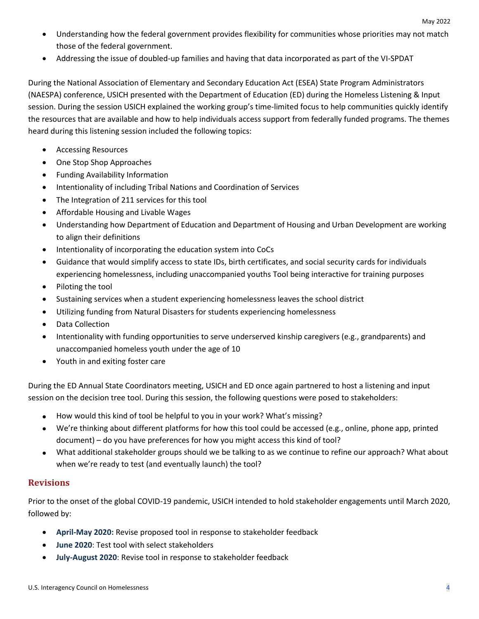- Understanding how the federal government provides flexibility for communities whose priorities may not match those of the federal government.
- Addressing the issue of doubled-up families and having that data incorporated as part of the VI-SPDAT

During the National Association of Elementary and Secondary Education Act (ESEA) State Program Administrators (NAESPA) conference, USICH presented with the Department of Education (ED) during the Homeless Listening & Input session. During the session USICH explained the working group's time-limited focus to help communities quickly identify the resources that are available and how to help individuals access support from federally funded programs. The themes heard during this listening session included the following topics:

- Accessing Resources
- One Stop Shop Approaches
- Funding Availability Information
- Intentionality of including Tribal Nations and Coordination of Services
- The Integration of 211 services for this tool
- Affordable Housing and Livable Wages
- Understanding how Department of Education and Department of Housing and Urban Development are working to align their definitions
- Intentionality of incorporating the education system into CoCs
- Guidance that would simplify access to state IDs, birth certificates, and social security cards for individuals experiencing homelessness, including unaccompanied youths Tool being interactive for training purposes
- Piloting the tool
- Sustaining services when a student experiencing homelessness leaves the school district
- Utilizing funding from Natural Disasters for students experiencing homelessness
- Data Collection
- Intentionality with funding opportunities to serve underserved kinship caregivers (e.g., grandparents) and unaccompanied homeless youth under the age of 10
- Youth in and exiting foster care

During the ED Annual State Coordinators meeting, USICH and ED once again partnered to host a listening and input session on the decision tree tool. During this session, the following questions were posed to stakeholders:

- How would this kind of tool be helpful to you in your work? What's missing?
- We're thinking about different platforms for how this tool could be accessed (e.g., online, phone app, printed document) – do you have preferences for how you might access this kind of tool?
- What additional stakeholder groups should we be talking to as we continue to refine our approach? What about when we're ready to test (and eventually launch) the tool?

#### **Revisions**

Prior to the onset of the global COVID-19 pandemic, USICH intended to hold stakeholder engagements until March 2020, followed by:

- **April-May 2020:** Revise proposed tool in response to stakeholder feedback
- **June 2020**: Test tool with select stakeholders
- **July-August 2020**: Revise tool in response to stakeholder feedback